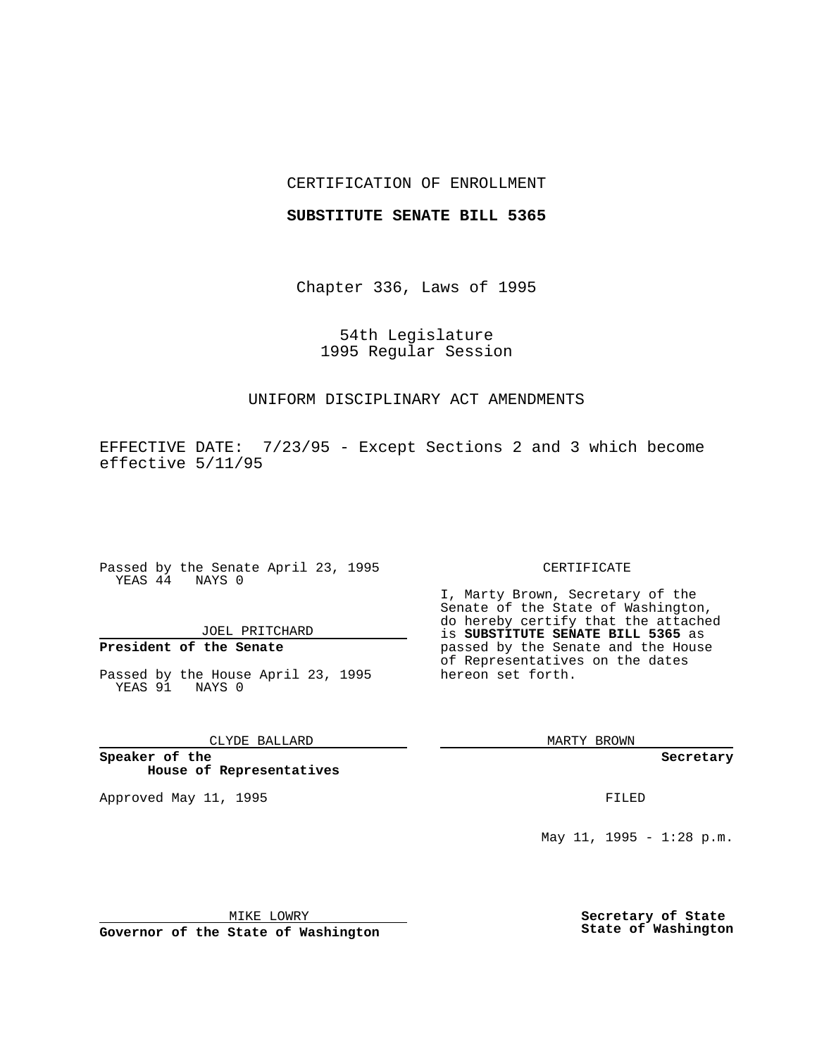## CERTIFICATION OF ENROLLMENT

## **SUBSTITUTE SENATE BILL 5365**

Chapter 336, Laws of 1995

54th Legislature 1995 Regular Session

# UNIFORM DISCIPLINARY ACT AMENDMENTS

EFFECTIVE DATE: 7/23/95 - Except Sections 2 and 3 which become effective 5/11/95

Passed by the Senate April 23, 1995 YEAS 44 NAYS 0

# JOEL PRITCHARD

# **President of the Senate**

Passed by the House April 23, 1995 YEAS 91 NAYS 0

# CLYDE BALLARD

**Speaker of the House of Representatives**

Approved May 11, 1995 **FILED** 

#### CERTIFICATE

I, Marty Brown, Secretary of the Senate of the State of Washington, do hereby certify that the attached is **SUBSTITUTE SENATE BILL 5365** as passed by the Senate and the House of Representatives on the dates hereon set forth.

MARTY BROWN

**Secretary**

May 11, 1995 -  $1:28$  p.m.

MIKE LOWRY

**Governor of the State of Washington**

**Secretary of State State of Washington**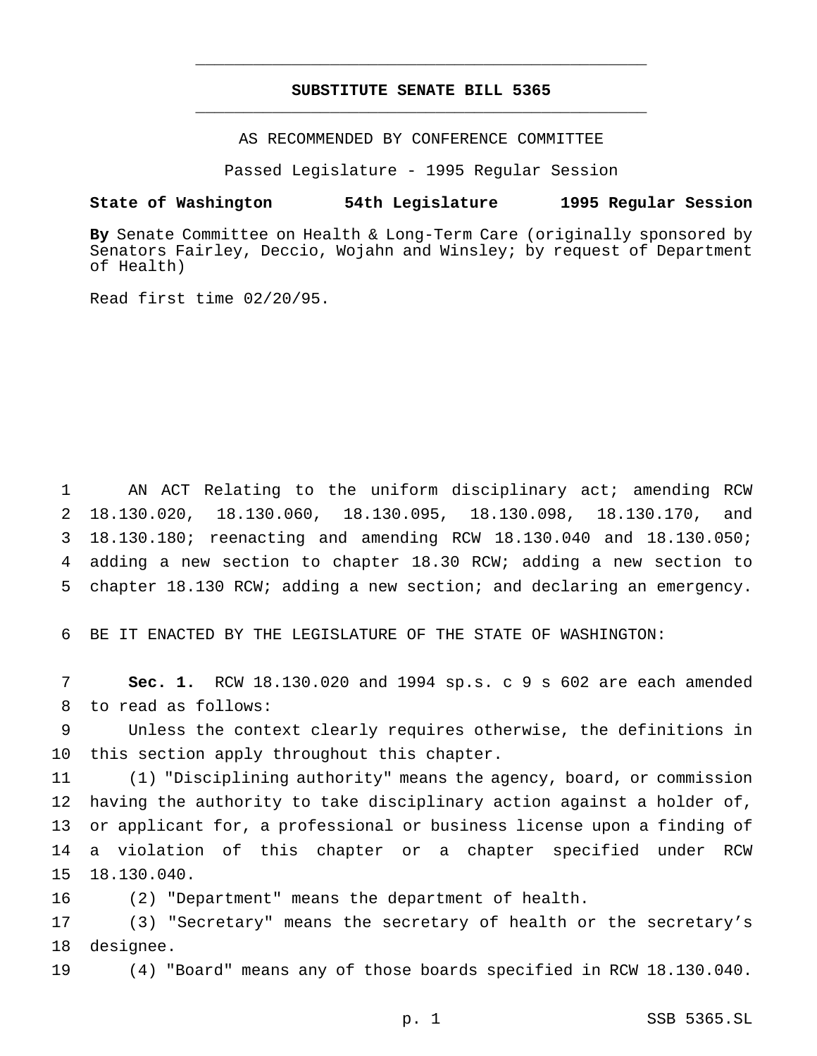# **SUBSTITUTE SENATE BILL 5365** \_\_\_\_\_\_\_\_\_\_\_\_\_\_\_\_\_\_\_\_\_\_\_\_\_\_\_\_\_\_\_\_\_\_\_\_\_\_\_\_\_\_\_\_\_\_\_

\_\_\_\_\_\_\_\_\_\_\_\_\_\_\_\_\_\_\_\_\_\_\_\_\_\_\_\_\_\_\_\_\_\_\_\_\_\_\_\_\_\_\_\_\_\_\_

AS RECOMMENDED BY CONFERENCE COMMITTEE

Passed Legislature - 1995 Regular Session

### **State of Washington 54th Legislature 1995 Regular Session**

**By** Senate Committee on Health & Long-Term Care (originally sponsored by Senators Fairley, Deccio, Wojahn and Winsley; by request of Department of Health)

Read first time 02/20/95.

 AN ACT Relating to the uniform disciplinary act; amending RCW 18.130.020, 18.130.060, 18.130.095, 18.130.098, 18.130.170, and 18.130.180; reenacting and amending RCW 18.130.040 and 18.130.050; adding a new section to chapter 18.30 RCW; adding a new section to chapter 18.130 RCW; adding a new section; and declaring an emergency.

BE IT ENACTED BY THE LEGISLATURE OF THE STATE OF WASHINGTON:

 **Sec. 1.** RCW 18.130.020 and 1994 sp.s. c 9 s 602 are each amended to read as follows:

 Unless the context clearly requires otherwise, the definitions in this section apply throughout this chapter.

 (1) "Disciplining authority" means the agency, board, or commission having the authority to take disciplinary action against a holder of, or applicant for, a professional or business license upon a finding of a violation of this chapter or a chapter specified under RCW 18.130.040.

(2) "Department" means the department of health.

 (3) "Secretary" means the secretary of health or the secretary's designee.

(4) "Board" means any of those boards specified in RCW 18.130.040.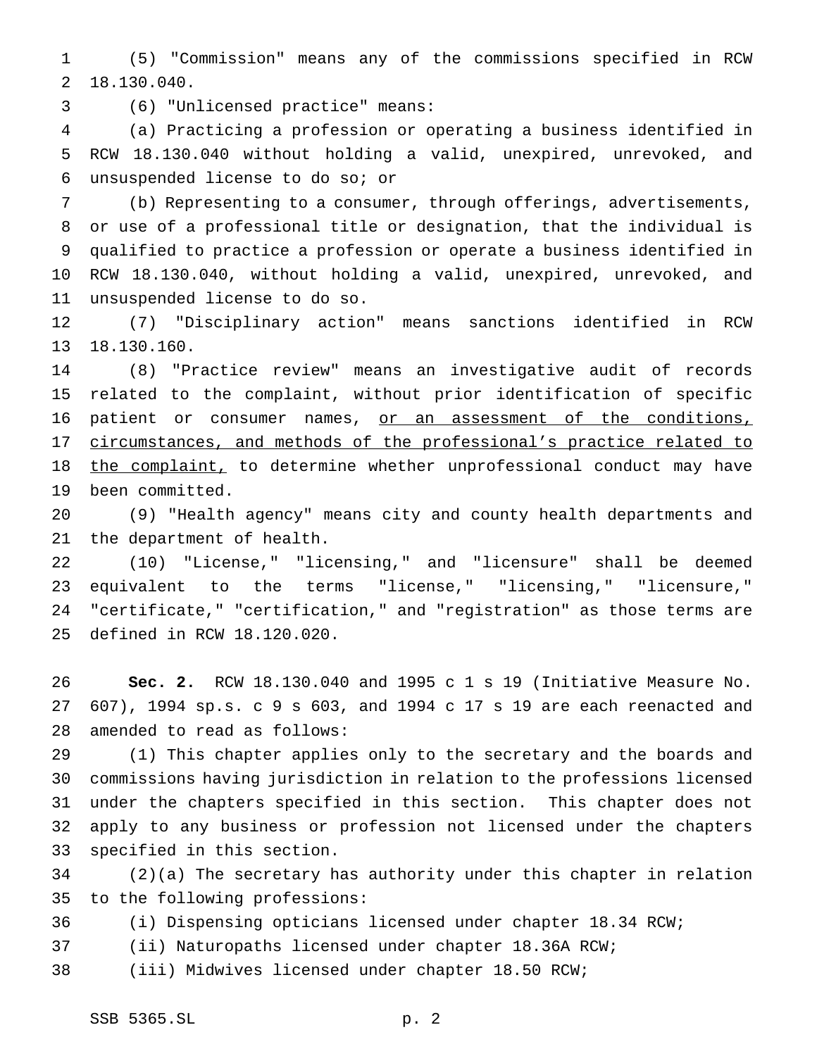(5) "Commission" means any of the commissions specified in RCW 18.130.040.

(6) "Unlicensed practice" means:

 (a) Practicing a profession or operating a business identified in RCW 18.130.040 without holding a valid, unexpired, unrevoked, and unsuspended license to do so; or

 (b) Representing to a consumer, through offerings, advertisements, or use of a professional title or designation, that the individual is qualified to practice a profession or operate a business identified in RCW 18.130.040, without holding a valid, unexpired, unrevoked, and unsuspended license to do so.

 (7) "Disciplinary action" means sanctions identified in RCW 18.130.160.

 (8) "Practice review" means an investigative audit of records related to the complaint, without prior identification of specific 16 patient or consumer names, or an assessment of the conditions, 17 circumstances, and methods of the professional's practice related to 18 the complaint, to determine whether unprofessional conduct may have been committed.

 (9) "Health agency" means city and county health departments and the department of health.

 (10) "License," "licensing," and "licensure" shall be deemed equivalent to the terms "license," "licensing," "licensure," "certificate," "certification," and "registration" as those terms are defined in RCW 18.120.020.

 **Sec. 2.** RCW 18.130.040 and 1995 c 1 s 19 (Initiative Measure No. 607), 1994 sp.s.c9s 603, and 1994 c 17 s 19 are each reenacted and amended to read as follows:

 (1) This chapter applies only to the secretary and the boards and commissions having jurisdiction in relation to the professions licensed under the chapters specified in this section. This chapter does not apply to any business or profession not licensed under the chapters specified in this section.

 (2)(a) The secretary has authority under this chapter in relation to the following professions:

(i) Dispensing opticians licensed under chapter 18.34 RCW;

(ii) Naturopaths licensed under chapter 18.36A RCW;

(iii) Midwives licensed under chapter 18.50 RCW;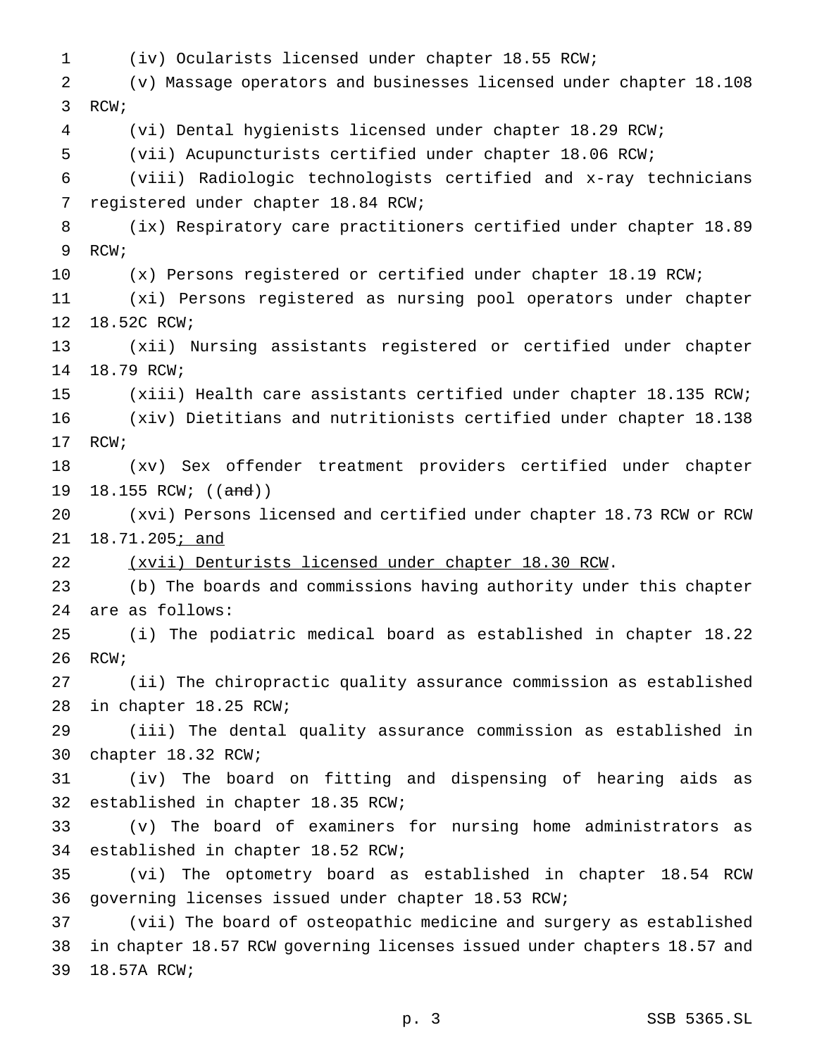(iv) Ocularists licensed under chapter 18.55 RCW; (v) Massage operators and businesses licensed under chapter 18.108 RCW; (vi) Dental hygienists licensed under chapter 18.29 RCW; (vii) Acupuncturists certified under chapter 18.06 RCW; (viii) Radiologic technologists certified and x-ray technicians registered under chapter 18.84 RCW; (ix) Respiratory care practitioners certified under chapter 18.89 RCW; (x) Persons registered or certified under chapter 18.19 RCW; (xi) Persons registered as nursing pool operators under chapter 18.52C RCW; (xii) Nursing assistants registered or certified under chapter 18.79 RCW; (xiii) Health care assistants certified under chapter 18.135 RCW; (xiv) Dietitians and nutritionists certified under chapter 18.138 RCW; (xv) Sex offender treatment providers certified under chapter 19 18.155 RCW; ((and)) (xvi) Persons licensed and certified under chapter 18.73 RCW or RCW 21 18.71.205; and (xvii) Denturists licensed under chapter 18.30 RCW. (b) The boards and commissions having authority under this chapter are as follows: (i) The podiatric medical board as established in chapter 18.22 RCW; (ii) The chiropractic quality assurance commission as established in chapter 18.25 RCW; (iii) The dental quality assurance commission as established in chapter 18.32 RCW; (iv) The board on fitting and dispensing of hearing aids as established in chapter 18.35 RCW; (v) The board of examiners for nursing home administrators as established in chapter 18.52 RCW; (vi) The optometry board as established in chapter 18.54 RCW governing licenses issued under chapter 18.53 RCW; (vii) The board of osteopathic medicine and surgery as established in chapter 18.57 RCW governing licenses issued under chapters 18.57 and 18.57A RCW;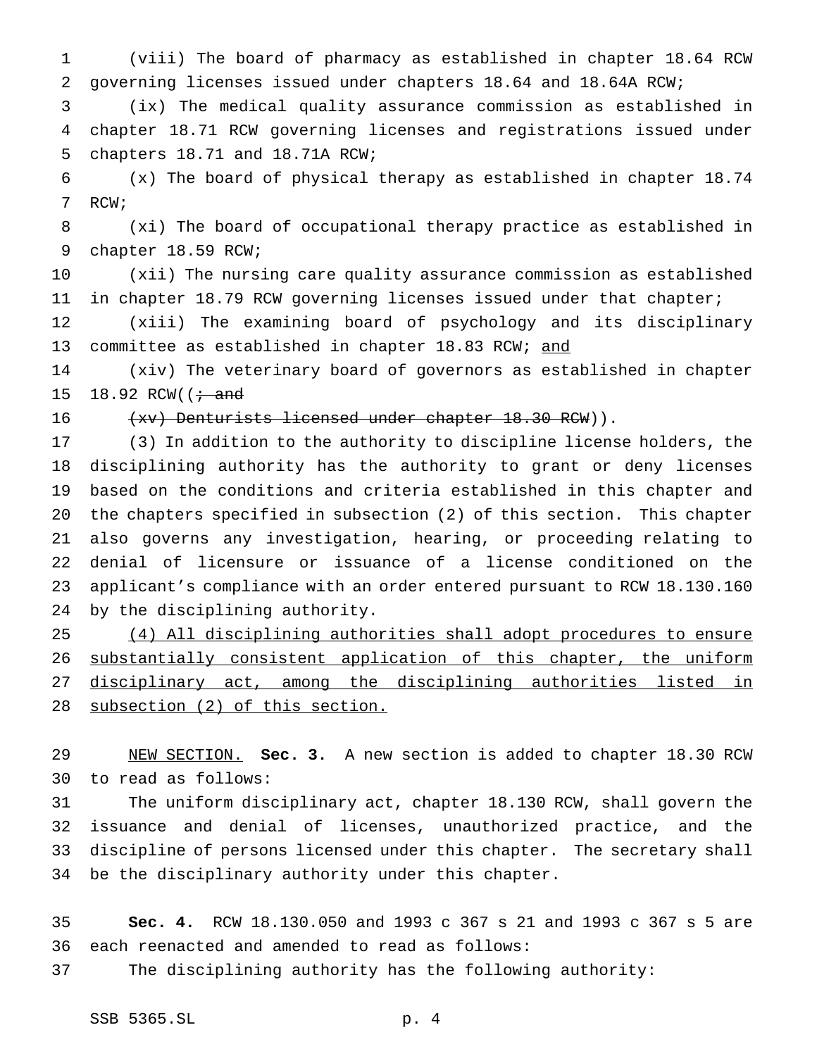(viii) The board of pharmacy as established in chapter 18.64 RCW governing licenses issued under chapters 18.64 and 18.64A RCW;

 (ix) The medical quality assurance commission as established in chapter 18.71 RCW governing licenses and registrations issued under chapters 18.71 and 18.71A RCW;

 (x) The board of physical therapy as established in chapter 18.74 RCW;

 (xi) The board of occupational therapy practice as established in chapter 18.59 RCW;

 (xii) The nursing care quality assurance commission as established in chapter 18.79 RCW governing licenses issued under that chapter;

 (xiii) The examining board of psychology and its disciplinary 13 committee as established in chapter 18.83 RCW; and

 (xiv) The veterinary board of governors as established in chapter 15 18.92 RCW( $\left(\frac{1}{1}\right)$  and

16 (xv) Denturists licensed under chapter 18.30 RCW)).

 (3) In addition to the authority to discipline license holders, the disciplining authority has the authority to grant or deny licenses based on the conditions and criteria established in this chapter and the chapters specified in subsection (2) of this section. This chapter also governs any investigation, hearing, or proceeding relating to denial of licensure or issuance of a license conditioned on the applicant's compliance with an order entered pursuant to RCW 18.130.160 by the disciplining authority.

 (4) All disciplining authorities shall adopt procedures to ensure 26 substantially consistent application of this chapter, the uniform 27 disciplinary act, among the disciplining authorities listed in subsection (2) of this section.

 NEW SECTION. **Sec. 3.** A new section is added to chapter 18.30 RCW to read as follows:

 The uniform disciplinary act, chapter 18.130 RCW, shall govern the issuance and denial of licenses, unauthorized practice, and the discipline of persons licensed under this chapter. The secretary shall be the disciplinary authority under this chapter.

 **Sec. 4.** RCW 18.130.050 and 1993 c 367 s 21 and 1993 c 367 s 5 are each reenacted and amended to read as follows:

The disciplining authority has the following authority: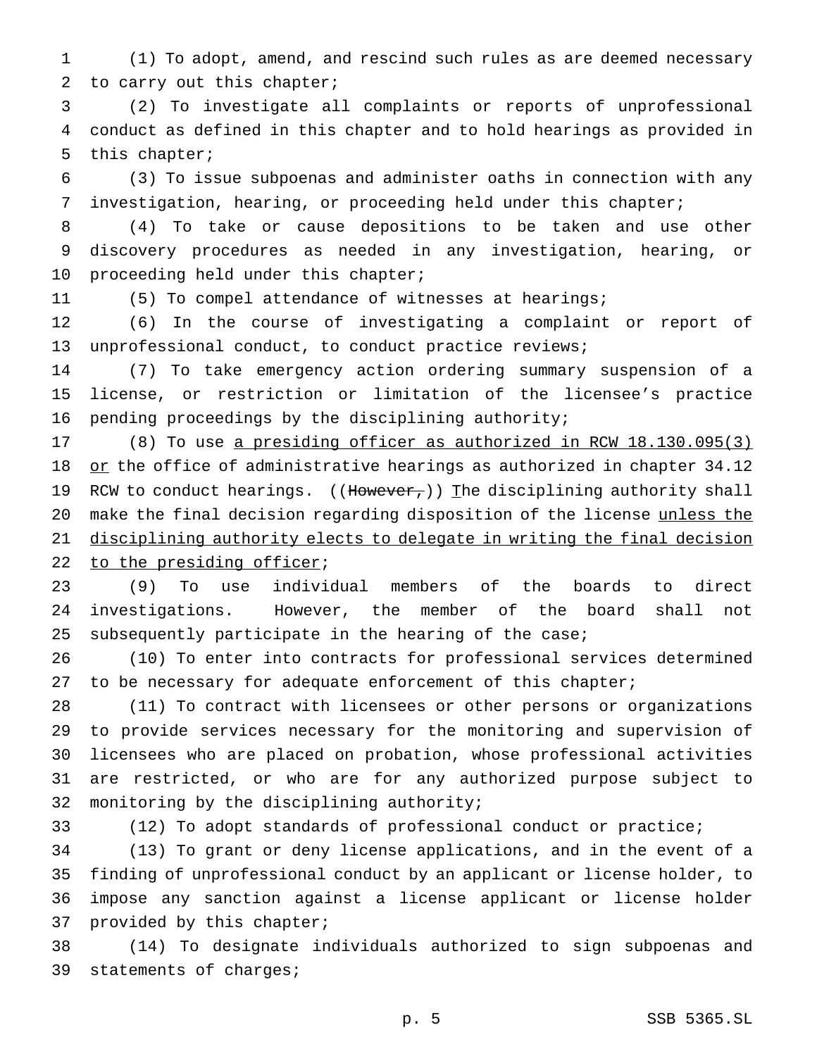(1) To adopt, amend, and rescind such rules as are deemed necessary to carry out this chapter;

 (2) To investigate all complaints or reports of unprofessional conduct as defined in this chapter and to hold hearings as provided in this chapter;

 (3) To issue subpoenas and administer oaths in connection with any investigation, hearing, or proceeding held under this chapter;

 (4) To take or cause depositions to be taken and use other discovery procedures as needed in any investigation, hearing, or 10 proceeding held under this chapter;

(5) To compel attendance of witnesses at hearings;

 (6) In the course of investigating a complaint or report of unprofessional conduct, to conduct practice reviews;

 (7) To take emergency action ordering summary suspension of a license, or restriction or limitation of the licensee's practice pending proceedings by the disciplining authority;

 (8) To use a presiding officer as authorized in RCW 18.130.095(3) 18 or the office of administrative hearings as authorized in chapter 34.12 19 RCW to conduct hearings. ((However,)) The disciplining authority shall make the final decision regarding disposition of the license unless the disciplining authority elects to delegate in writing the final decision 22 to the presiding officer;

 (9) To use individual members of the boards to direct investigations. However, the member of the board shall not subsequently participate in the hearing of the case;

 (10) To enter into contracts for professional services determined 27 to be necessary for adequate enforcement of this chapter;

 (11) To contract with licensees or other persons or organizations to provide services necessary for the monitoring and supervision of licensees who are placed on probation, whose professional activities are restricted, or who are for any authorized purpose subject to monitoring by the disciplining authority;

(12) To adopt standards of professional conduct or practice;

 (13) To grant or deny license applications, and in the event of a finding of unprofessional conduct by an applicant or license holder, to impose any sanction against a license applicant or license holder provided by this chapter;

 (14) To designate individuals authorized to sign subpoenas and statements of charges;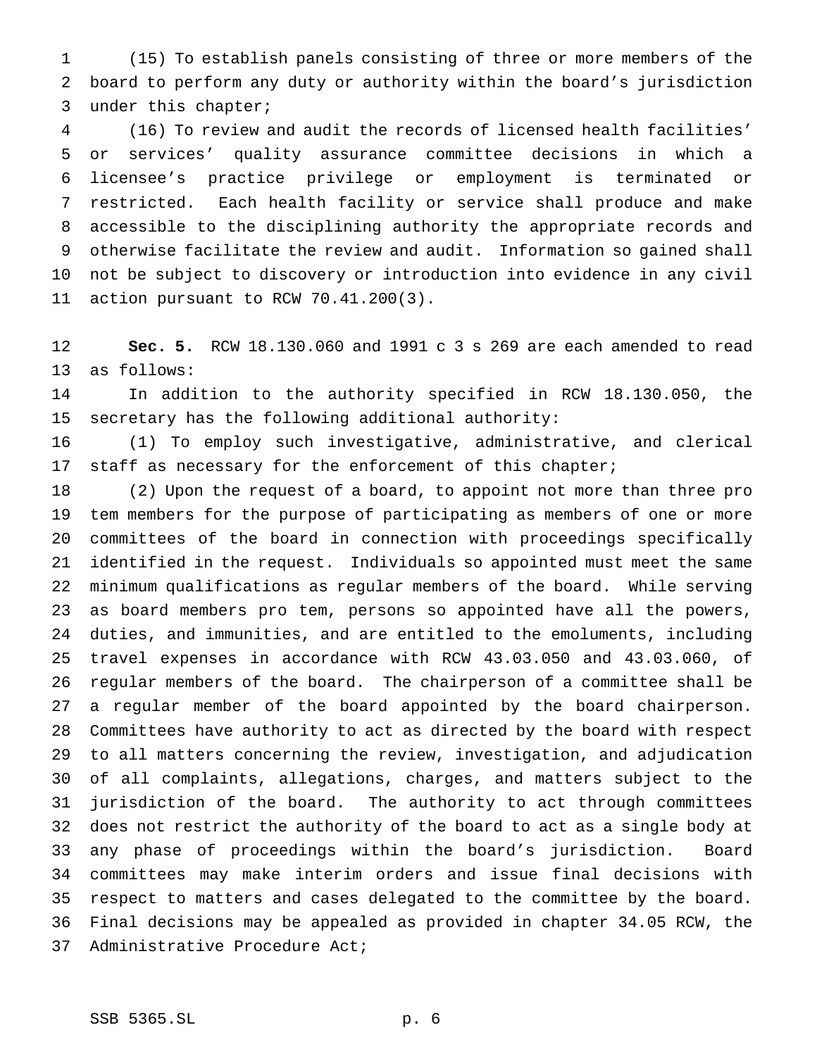(15) To establish panels consisting of three or more members of the board to perform any duty or authority within the board's jurisdiction under this chapter;

 (16) To review and audit the records of licensed health facilities' or services' quality assurance committee decisions in which a licensee's practice privilege or employment is terminated or restricted. Each health facility or service shall produce and make accessible to the disciplining authority the appropriate records and otherwise facilitate the review and audit. Information so gained shall not be subject to discovery or introduction into evidence in any civil action pursuant to RCW 70.41.200(3).

 **Sec. 5.** RCW 18.130.060 and 1991 c 3 s 269 are each amended to read as follows:

 In addition to the authority specified in RCW 18.130.050, the secretary has the following additional authority:

 (1) To employ such investigative, administrative, and clerical staff as necessary for the enforcement of this chapter;

 (2) Upon the request of a board, to appoint not more than three pro tem members for the purpose of participating as members of one or more committees of the board in connection with proceedings specifically identified in the request. Individuals so appointed must meet the same minimum qualifications as regular members of the board. While serving as board members pro tem, persons so appointed have all the powers, duties, and immunities, and are entitled to the emoluments, including travel expenses in accordance with RCW 43.03.050 and 43.03.060, of regular members of the board. The chairperson of a committee shall be a regular member of the board appointed by the board chairperson. Committees have authority to act as directed by the board with respect to all matters concerning the review, investigation, and adjudication of all complaints, allegations, charges, and matters subject to the jurisdiction of the board. The authority to act through committees does not restrict the authority of the board to act as a single body at any phase of proceedings within the board's jurisdiction. Board committees may make interim orders and issue final decisions with respect to matters and cases delegated to the committee by the board. Final decisions may be appealed as provided in chapter 34.05 RCW, the Administrative Procedure Act;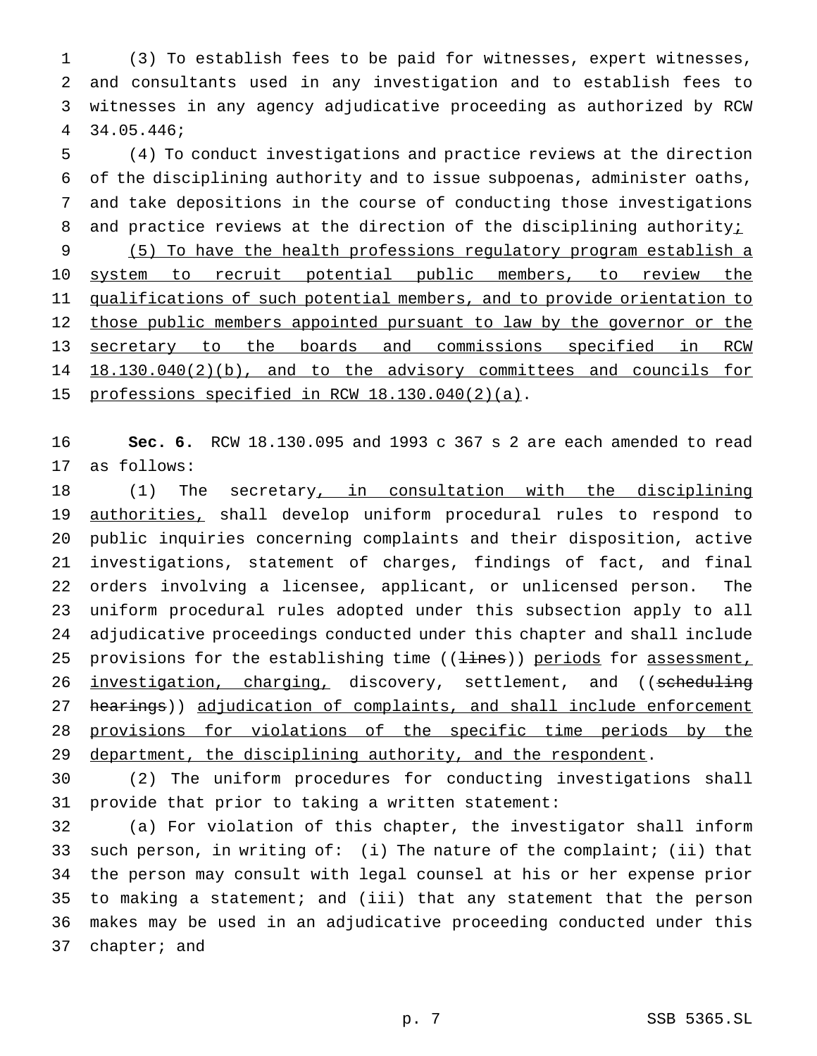(3) To establish fees to be paid for witnesses, expert witnesses, and consultants used in any investigation and to establish fees to witnesses in any agency adjudicative proceeding as authorized by RCW 34.05.446;

 (4) To conduct investigations and practice reviews at the direction of the disciplining authority and to issue subpoenas, administer oaths, and take depositions in the course of conducting those investigations 8 and practice reviews at the direction of the disciplining authority;

 (5) To have the health professions regulatory program establish a 10 system to recruit potential public members, to review the 11 qualifications of such potential members, and to provide orientation to 12 those public members appointed pursuant to law by the governor or the secretary to the boards and commissions specified in RCW 18.130.040(2)(b), and to the advisory committees and councils for 15 professions specified in RCW 18.130.040(2)(a).

 **Sec. 6.** RCW 18.130.095 and 1993 c 367 s 2 are each amended to read as follows:

18 (1) The secretary, in consultation with the disciplining authorities, shall develop uniform procedural rules to respond to public inquiries concerning complaints and their disposition, active investigations, statement of charges, findings of fact, and final orders involving a licensee, applicant, or unlicensed person. The uniform procedural rules adopted under this subsection apply to all adjudicative proceedings conducted under this chapter and shall include 25 provisions for the establishing time ((lines)) periods for assessment, 26 investigation, charging, discovery, settlement, and ((scheduling 27 hearings)) adjudication of complaints, and shall include enforcement 28 provisions for violations of the specific time periods by the 29 department, the disciplining authority, and the respondent.

 (2) The uniform procedures for conducting investigations shall provide that prior to taking a written statement:

 (a) For violation of this chapter, the investigator shall inform such person, in writing of: (i) The nature of the complaint; (ii) that the person may consult with legal counsel at his or her expense prior to making a statement; and (iii) that any statement that the person makes may be used in an adjudicative proceeding conducted under this chapter; and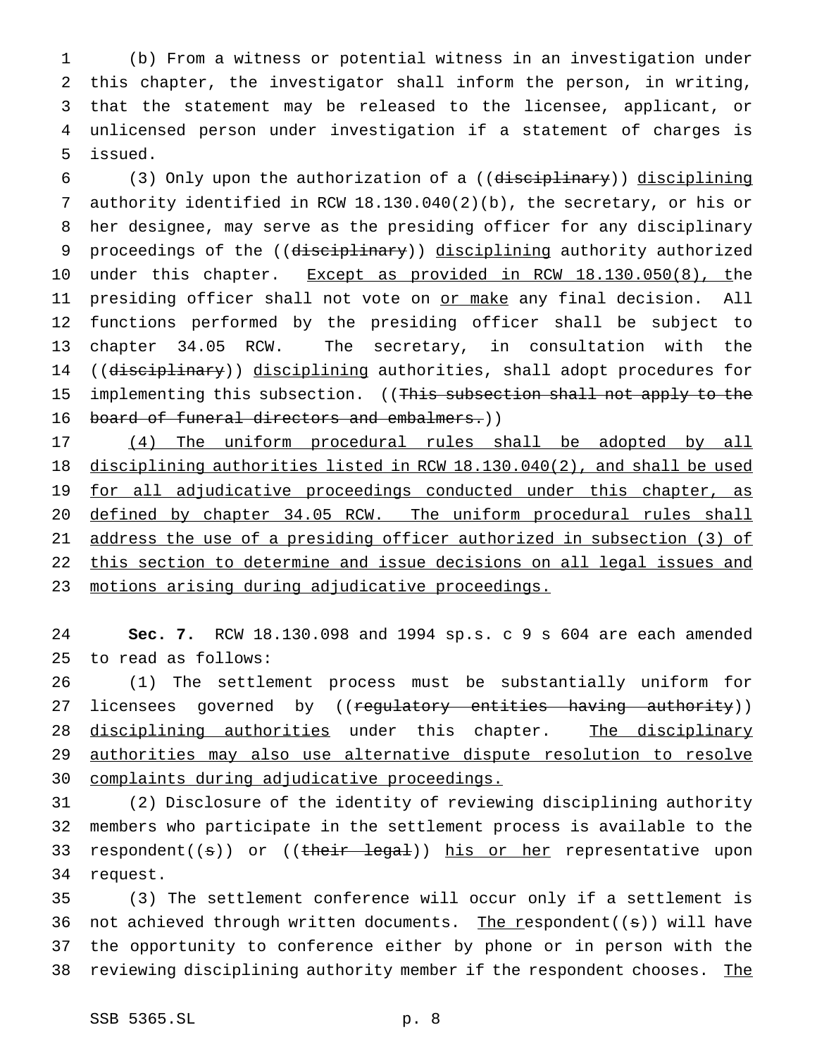(b) From a witness or potential witness in an investigation under this chapter, the investigator shall inform the person, in writing, that the statement may be released to the licensee, applicant, or unlicensed person under investigation if a statement of charges is issued.

 (3) Only upon the authorization of a ((disciplinary)) disciplining authority identified in RCW 18.130.040(2)(b), the secretary, or his or her designee, may serve as the presiding officer for any disciplinary 9 proceedings of the ((disciplinary)) disciplining authority authorized 10 under this chapter. Except as provided in RCW 18.130.050(8), the 11 presiding officer shall not vote on or make any final decision. All functions performed by the presiding officer shall be subject to chapter 34.05 RCW. The secretary, in consultation with the 14 ((disciplinary)) disciplining authorities, shall adopt procedures for 15 implementing this subsection. ((This subsection shall not apply to the 16 board of funeral directors and embalmers.))

 (4) The uniform procedural rules shall be adopted by all disciplining authorities listed in RCW 18.130.040(2), and shall be used 19 for all adjudicative proceedings conducted under this chapter, as defined by chapter 34.05 RCW. The uniform procedural rules shall address the use of a presiding officer authorized in subsection (3) of this section to determine and issue decisions on all legal issues and motions arising during adjudicative proceedings.

 **Sec. 7.** RCW 18.130.098 and 1994 sp.s. c 9 s 604 are each amended to read as follows:

 (1) The settlement process must be substantially uniform for 27 licensees governed by ((regulatory entities having authority)) 28 disciplining authorities under this chapter. The disciplinary 29 authorities may also use alternative dispute resolution to resolve complaints during adjudicative proceedings.

 (2) Disclosure of the identity of reviewing disciplining authority members who participate in the settlement process is available to the 33 respondent((s)) or ((their legal)) his or her representative upon request.

 (3) The settlement conference will occur only if a settlement is 36 not achieved through written documents. The respondent( $(s)$ ) will have the opportunity to conference either by phone or in person with the 38 reviewing disciplining authority member if the respondent chooses. The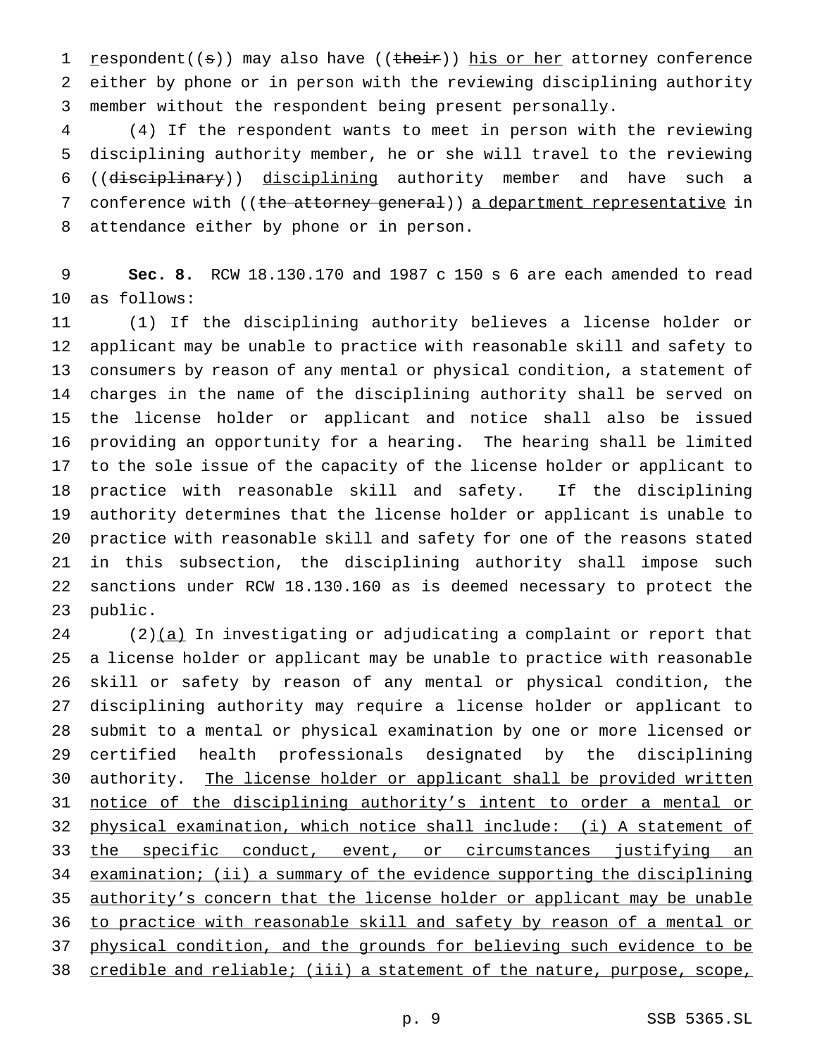1 respondent((s)) may also have ((their)) his or her attorney conference either by phone or in person with the reviewing disciplining authority member without the respondent being present personally.

 (4) If the respondent wants to meet in person with the reviewing disciplining authority member, he or she will travel to the reviewing ((disciplinary)) disciplining authority member and have such a 7 conference with ((the attorney general)) a department representative in attendance either by phone or in person.

 **Sec. 8.** RCW 18.130.170 and 1987 c 150 s 6 are each amended to read as follows:

 (1) If the disciplining authority believes a license holder or applicant may be unable to practice with reasonable skill and safety to consumers by reason of any mental or physical condition, a statement of charges in the name of the disciplining authority shall be served on the license holder or applicant and notice shall also be issued providing an opportunity for a hearing. The hearing shall be limited to the sole issue of the capacity of the license holder or applicant to practice with reasonable skill and safety. If the disciplining authority determines that the license holder or applicant is unable to practice with reasonable skill and safety for one of the reasons stated in this subsection, the disciplining authority shall impose such sanctions under RCW 18.130.160 as is deemed necessary to protect the public.

 (2) $(a)$  In investigating or adjudicating a complaint or report that a license holder or applicant may be unable to practice with reasonable skill or safety by reason of any mental or physical condition, the disciplining authority may require a license holder or applicant to submit to a mental or physical examination by one or more licensed or certified health professionals designated by the disciplining 30 authority. The license holder or applicant shall be provided written notice of the disciplining authority's intent to order a mental or physical examination, which notice shall include: (i) A statement of 33 the specific conduct, event, or circumstances justifying an examination; (ii) a summary of the evidence supporting the disciplining 35 authority's concern that the license holder or applicant may be unable to practice with reasonable skill and safety by reason of a mental or physical condition, and the grounds for believing such evidence to be 38 credible and reliable; (iii) a statement of the nature, purpose, scope,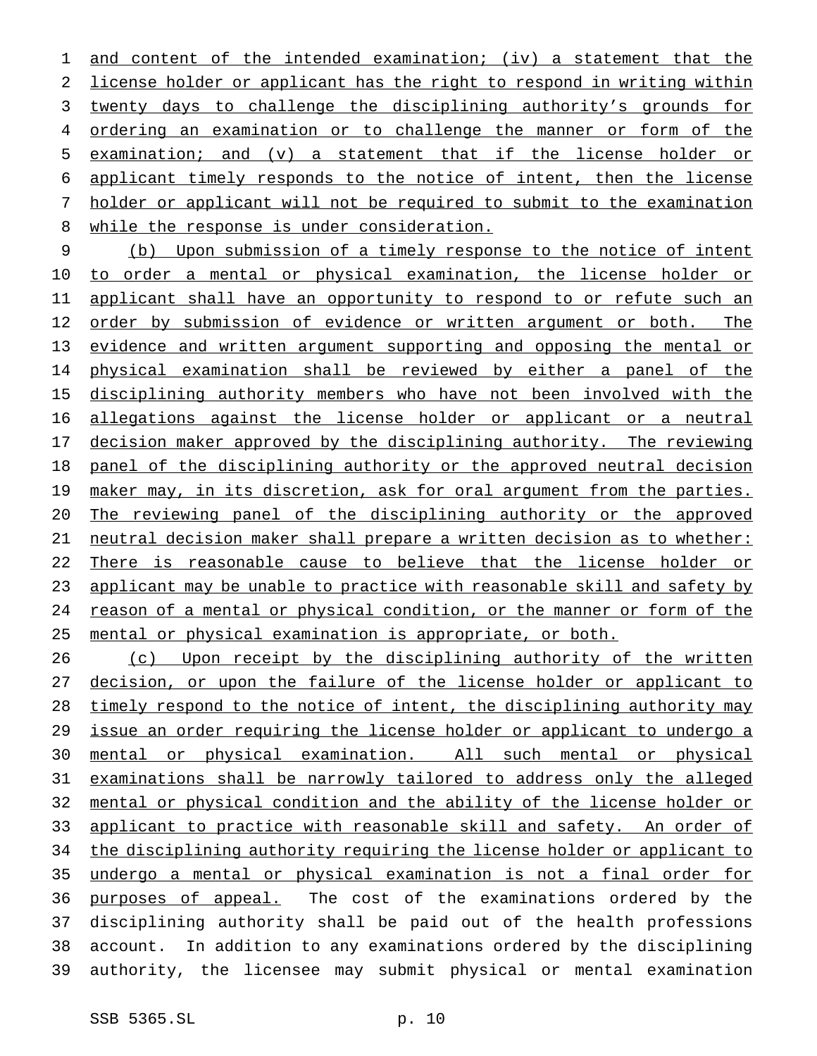1 and content of the intended examination; (iv) a statement that the license holder or applicant has the right to respond in writing within twenty days to challenge the disciplining authority's grounds for ordering an examination or to challenge the manner or form of the examination; and (v) a statement that if the license holder or applicant timely responds to the notice of intent, then the license holder or applicant will not be required to submit to the examination 8 while the response is under consideration.

 (b) Upon submission of a timely response to the notice of intent 10 to order a mental or physical examination, the license holder or 11 applicant shall have an opportunity to respond to or refute such an 12 order by submission of evidence or written argument or both. The evidence and written argument supporting and opposing the mental or physical examination shall be reviewed by either a panel of the disciplining authority members who have not been involved with the allegations against the license holder or applicant or a neutral decision maker approved by the disciplining authority. The reviewing panel of the disciplining authority or the approved neutral decision 19 maker may, in its discretion, ask for oral argument from the parties. The reviewing panel of the disciplining authority or the approved neutral decision maker shall prepare a written decision as to whether: There is reasonable cause to believe that the license holder or 23 applicant may be unable to practice with reasonable skill and safety by reason of a mental or physical condition, or the manner or form of the mental or physical examination is appropriate, or both.

26 (c) Upon receipt by the disciplining authority of the written decision, or upon the failure of the license holder or applicant to timely respond to the notice of intent, the disciplining authority may issue an order requiring the license holder or applicant to undergo a mental or physical examination. All such mental or physical examinations shall be narrowly tailored to address only the alleged mental or physical condition and the ability of the license holder or 33 applicant to practice with reasonable skill and safety. An order of 34 the disciplining authority requiring the license holder or applicant to undergo a mental or physical examination is not a final order for 36 purposes of appeal. The cost of the examinations ordered by the disciplining authority shall be paid out of the health professions account. In addition to any examinations ordered by the disciplining authority, the licensee may submit physical or mental examination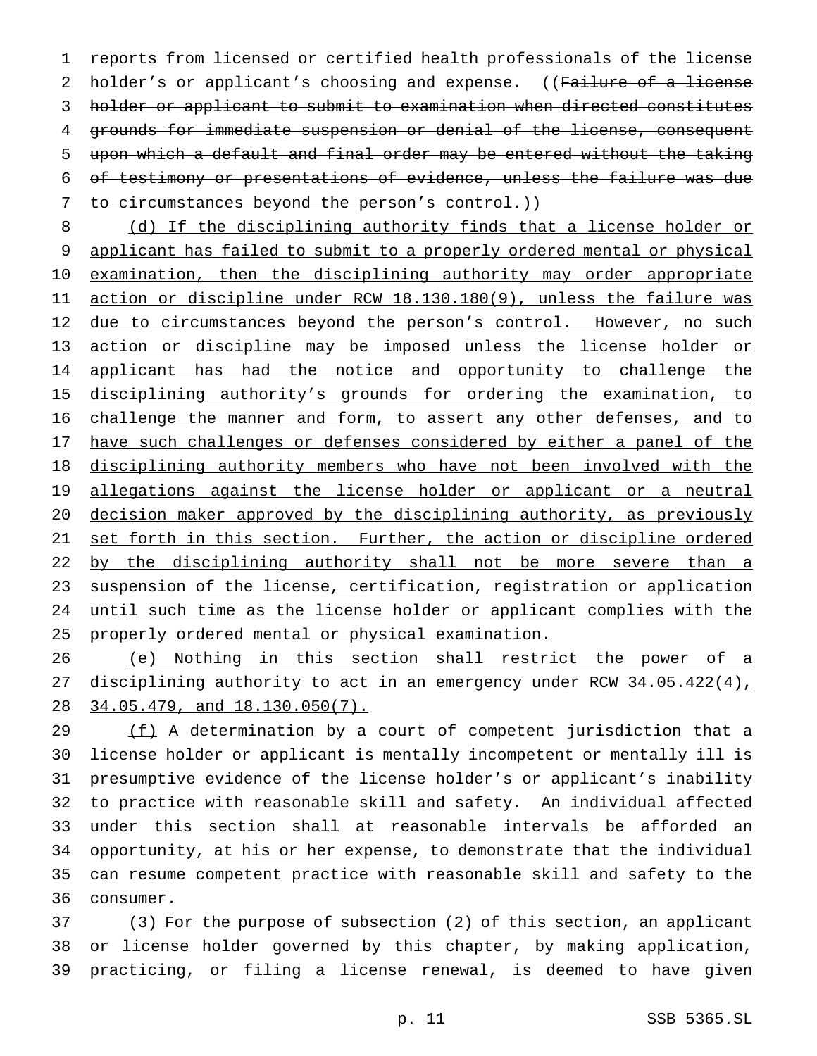reports from licensed or certified health professionals of the license 2 holder's or applicant's choosing and expense. ((Failure of a license holder or applicant to submit to examination when directed constitutes grounds for immediate suspension or denial of the license, consequent upon which a default and final order may be entered without the taking of testimony or presentations of evidence, unless the failure was due 7 to circumstances beyond the person's control.))

8 (d) If the disciplining authority finds that a license holder or 9 applicant has failed to submit to a properly ordered mental or physical 10 examination, then the disciplining authority may order appropriate 11 action or discipline under RCW 18.130.180(9), unless the failure was 12 due to circumstances beyond the person's control. However, no such 13 action or discipline may be imposed unless the license holder or 14 applicant has had the notice and opportunity to challenge the 15 disciplining authority's grounds for ordering the examination, to 16 challenge the manner and form, to assert any other defenses, and to 17 have such challenges or defenses considered by either a panel of the 18 disciplining authority members who have not been involved with the 19 allegations against the license holder or applicant or a neutral 20 decision maker approved by the disciplining authority, as previously 21 set forth in this section. Further, the action or discipline ordered 22 by the disciplining authority shall not be more severe than a 23 suspension of the license, certification, registration or application 24 until such time as the license holder or applicant complies with the 25 properly ordered mental or physical examination.

26 (e) Nothing in this section shall restrict the power of a 27 disciplining authority to act in an emergency under RCW 34.05.422(4), 28 34.05.479, and 18.130.050(7).

 $(f)$  A determination by a court of competent jurisdiction that a license holder or applicant is mentally incompetent or mentally ill is presumptive evidence of the license holder's or applicant's inability to practice with reasonable skill and safety. An individual affected under this section shall at reasonable intervals be afforded an 34 opportunity, at his or her expense, to demonstrate that the individual can resume competent practice with reasonable skill and safety to the consumer.

37 (3) For the purpose of subsection (2) of this section, an applicant 38 or license holder governed by this chapter, by making application, 39 practicing, or filing a license renewal, is deemed to have given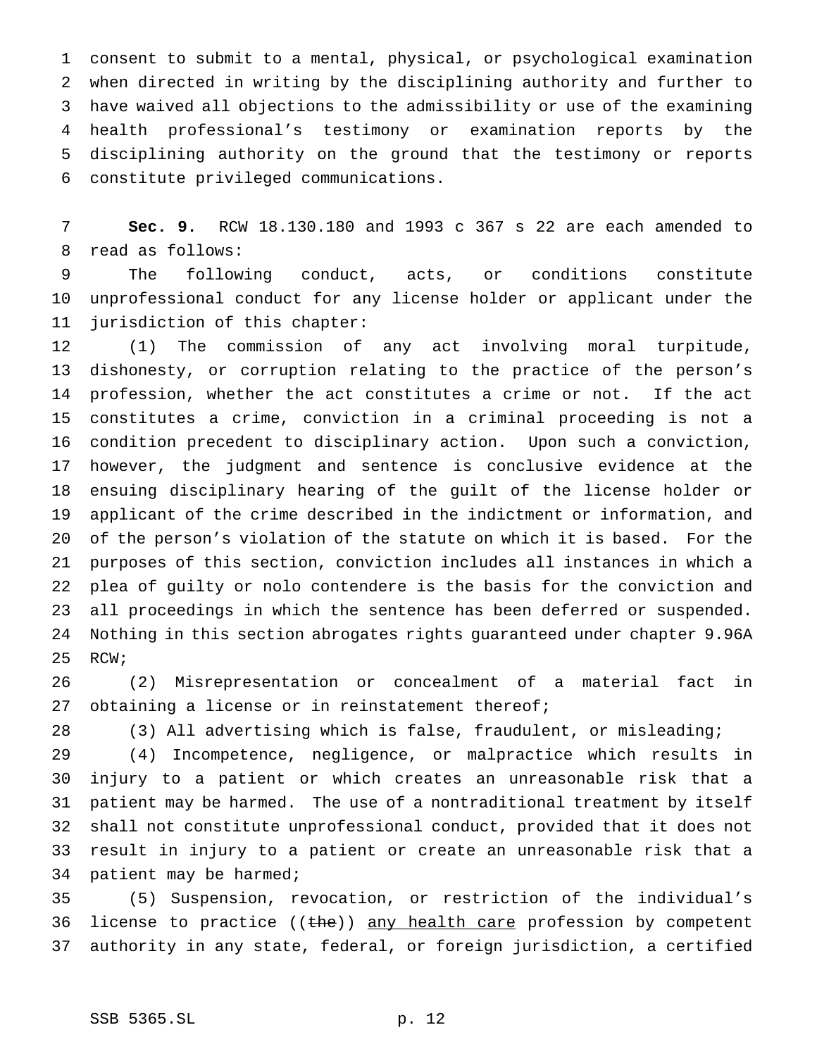consent to submit to a mental, physical, or psychological examination when directed in writing by the disciplining authority and further to have waived all objections to the admissibility or use of the examining health professional's testimony or examination reports by the disciplining authority on the ground that the testimony or reports constitute privileged communications.

 **Sec. 9.** RCW 18.130.180 and 1993 c 367 s 22 are each amended to read as follows:

 The following conduct, acts, or conditions constitute unprofessional conduct for any license holder or applicant under the jurisdiction of this chapter:

 (1) The commission of any act involving moral turpitude, dishonesty, or corruption relating to the practice of the person's profession, whether the act constitutes a crime or not. If the act constitutes a crime, conviction in a criminal proceeding is not a condition precedent to disciplinary action. Upon such a conviction, however, the judgment and sentence is conclusive evidence at the ensuing disciplinary hearing of the guilt of the license holder or applicant of the crime described in the indictment or information, and of the person's violation of the statute on which it is based. For the purposes of this section, conviction includes all instances in which a plea of guilty or nolo contendere is the basis for the conviction and all proceedings in which the sentence has been deferred or suspended. Nothing in this section abrogates rights guaranteed under chapter 9.96A RCW;

 (2) Misrepresentation or concealment of a material fact in obtaining a license or in reinstatement thereof;

(3) All advertising which is false, fraudulent, or misleading;

 (4) Incompetence, negligence, or malpractice which results in injury to a patient or which creates an unreasonable risk that a patient may be harmed. The use of a nontraditional treatment by itself shall not constitute unprofessional conduct, provided that it does not result in injury to a patient or create an unreasonable risk that a patient may be harmed;

 (5) Suspension, revocation, or restriction of the individual's 36 license to practice  $((the))$  any health care profession by competent authority in any state, federal, or foreign jurisdiction, a certified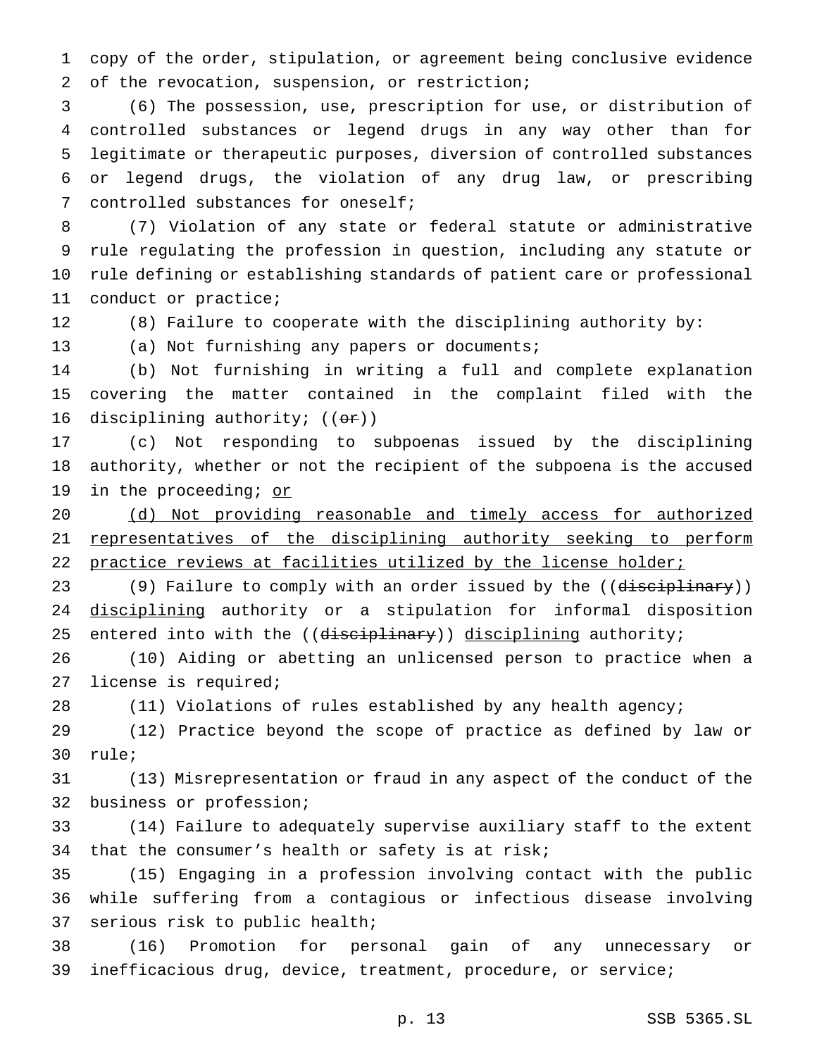copy of the order, stipulation, or agreement being conclusive evidence of the revocation, suspension, or restriction;

 (6) The possession, use, prescription for use, or distribution of controlled substances or legend drugs in any way other than for legitimate or therapeutic purposes, diversion of controlled substances or legend drugs, the violation of any drug law, or prescribing controlled substances for oneself;

 (7) Violation of any state or federal statute or administrative rule regulating the profession in question, including any statute or rule defining or establishing standards of patient care or professional conduct or practice;

(8) Failure to cooperate with the disciplining authority by:

(a) Not furnishing any papers or documents;

 (b) Not furnishing in writing a full and complete explanation covering the matter contained in the complaint filed with the 16 disciplining authority;  $((\theta \cdot \mathbf{r}))$ 

 (c) Not responding to subpoenas issued by the disciplining authority, whether or not the recipient of the subpoena is the accused 19 in the proceeding; or

 (d) Not providing reasonable and timely access for authorized representatives of the disciplining authority seeking to perform 22 practice reviews at facilities utilized by the license holder;

23 (9) Failure to comply with an order issued by the ((disciplinary)) 24 disciplining authority or a stipulation for informal disposition 25 entered into with the ((disciplinary)) disciplining authority;

 (10) Aiding or abetting an unlicensed person to practice when a license is required;

(11) Violations of rules established by any health agency;

 (12) Practice beyond the scope of practice as defined by law or rule;

 (13) Misrepresentation or fraud in any aspect of the conduct of the business or profession;

 (14) Failure to adequately supervise auxiliary staff to the extent that the consumer's health or safety is at risk;

 (15) Engaging in a profession involving contact with the public while suffering from a contagious or infectious disease involving serious risk to public health;

 (16) Promotion for personal gain of any unnecessary or inefficacious drug, device, treatment, procedure, or service;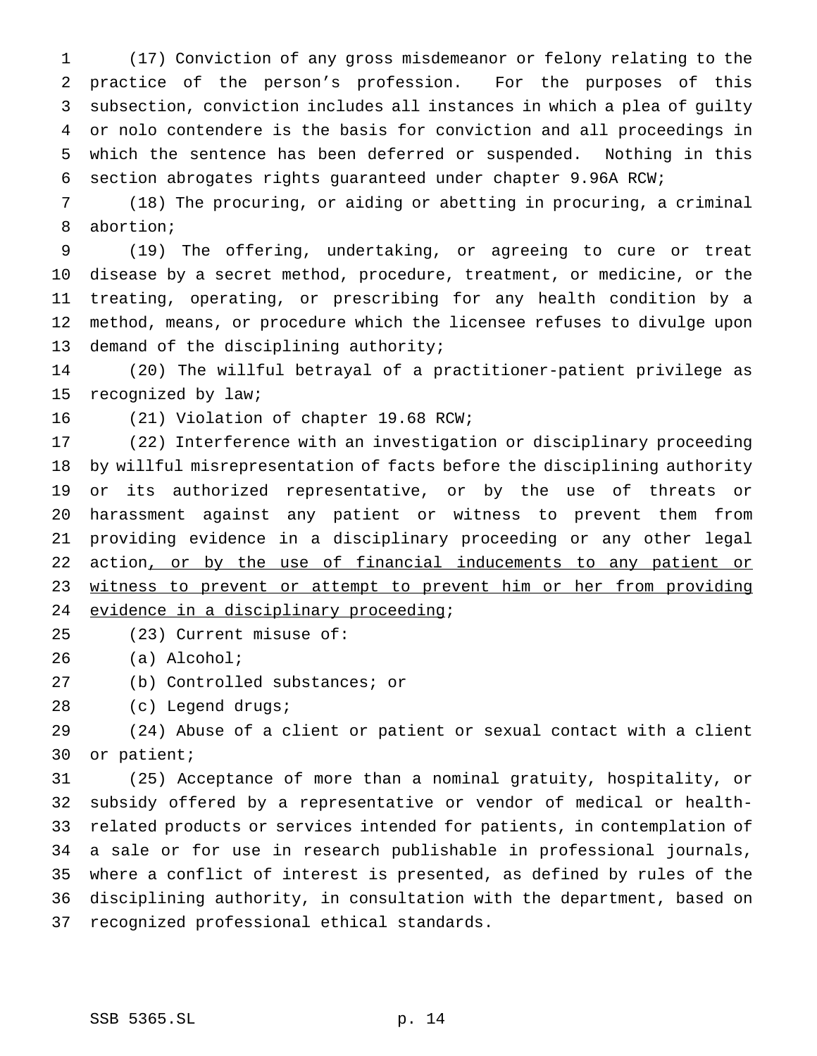(17) Conviction of any gross misdemeanor or felony relating to the practice of the person's profession. For the purposes of this subsection, conviction includes all instances in which a plea of guilty or nolo contendere is the basis for conviction and all proceedings in which the sentence has been deferred or suspended. Nothing in this section abrogates rights guaranteed under chapter 9.96A RCW;

 (18) The procuring, or aiding or abetting in procuring, a criminal abortion;

 (19) The offering, undertaking, or agreeing to cure or treat disease by a secret method, procedure, treatment, or medicine, or the treating, operating, or prescribing for any health condition by a method, means, or procedure which the licensee refuses to divulge upon demand of the disciplining authority;

 (20) The willful betrayal of a practitioner-patient privilege as recognized by law;

(21) Violation of chapter 19.68 RCW;

 (22) Interference with an investigation or disciplinary proceeding by willful misrepresentation of facts before the disciplining authority or its authorized representative, or by the use of threats or harassment against any patient or witness to prevent them from providing evidence in a disciplinary proceeding or any other legal 22 action, or by the use of financial inducements to any patient or 23 witness to prevent or attempt to prevent him or her from providing 24 evidence in a disciplinary proceeding;

(23) Current misuse of:

(a) Alcohol;

(b) Controlled substances; or

(c) Legend drugs;

 (24) Abuse of a client or patient or sexual contact with a client or patient;

 (25) Acceptance of more than a nominal gratuity, hospitality, or subsidy offered by a representative or vendor of medical or health- related products or services intended for patients, in contemplation of a sale or for use in research publishable in professional journals, where a conflict of interest is presented, as defined by rules of the disciplining authority, in consultation with the department, based on recognized professional ethical standards.